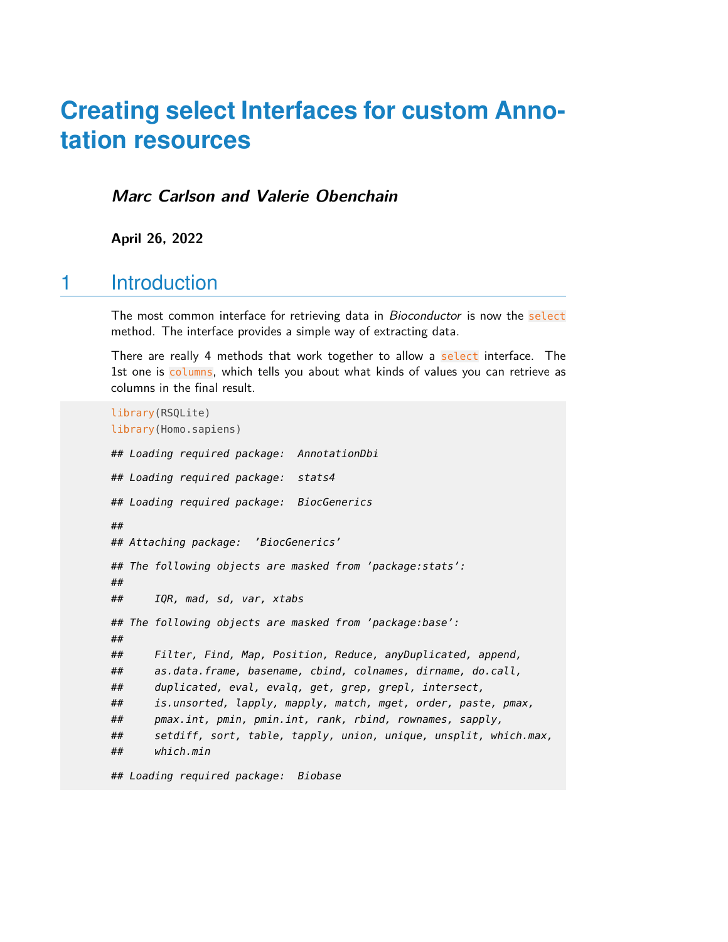# **Creating select Interfaces for custom Annotation resources**

**Marc Carlson and Valerie Obenchain**

**April 26, 2022**

## 1 Introduction

The most common interface for retrieving data in *Bioconductor* is now the select method. The interface provides a simple way of extracting data.

There are really 4 methods that work together to allow a select interface. The 1st one is columns, which tells you about what kinds of values you can retrieve as columns in the final result.

```
library(RSQLite)
library(Homo.sapiens)
## Loading required package: AnnotationDbi
## Loading required package: stats4
## Loading required package: BiocGenerics
##
## Attaching package: 'BiocGenerics'
## The following objects are masked from 'package:stats':
##
## IQR, mad, sd, var, xtabs
## The following objects are masked from 'package:base':
##
## Filter, Find, Map, Position, Reduce, anyDuplicated, append,
## as.data.frame, basename, cbind, colnames, dirname, do.call,
## duplicated, eval, evalq, get, grep, grepl, intersect,
## is.unsorted, lapply, mapply, match, mget, order, paste, pmax,
## pmax.int, pmin, pmin.int, rank, rbind, rownames, sapply,
## setdiff, sort, table, tapply, union, unique, unsplit, which.max,
## which.min
```
## Loading required package: Biobase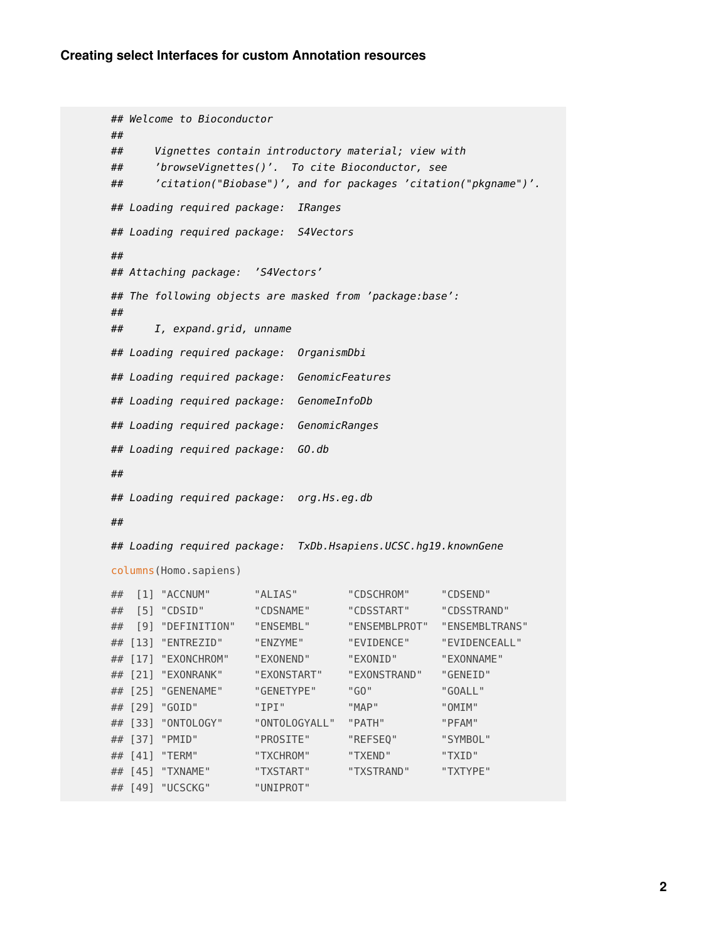## Welcome to Bioconductor ## ## Vignettes contain introductory material; view with ## 'browseVignettes()'. To cite Bioconductor, see ## 'citation("Biobase")', and for packages 'citation("pkgname")'. ## Loading required package: IRanges ## Loading required package: S4Vectors ## ## Attaching package: 'S4Vectors' ## The following objects are masked from 'package:base': ## ## I, expand.grid, unname ## Loading required package: OrganismDbi ## Loading required package: GenomicFeatures ## Loading required package: GenomeInfoDb ## Loading required package: GenomicRanges ## Loading required package: GO.db ## ## Loading required package: org.Hs.eg.db ## ## Loading required package: TxDb.Hsapiens.UCSC.hg19.knownGene columns(Homo.sapiens) ## [1] "ACCNUM" "ALIAS" "CDSCHROM" "CDSEND" ## [5] "CDSID" "CDSNAME" "CDSSTART" "CDSSTRAND" ## [9] "DEFINITION" "ENSEMBL" "ENSEMBLPROT" "ENSEMBLTRANS" ## [13] "ENTREZID" "ENZYME" "EVIDENCE" "EVIDENCEALL" ## [17] "EXONCHROM" "EXONEND" "EXONID" "EXONNAME" ## [21] "EXONRANK" "EXONSTART" "EXONSTRAND" "GENEID" ## [25] "GENENAME" "GENETYPE" "GO" "GOALL" ## [29] "GOID" "IPI" "MAP" "OMIM" ## [33] "ONTOLOGY" "ONTOLOGYALL" "PATH" "PFAM" ## [37] "PMID" "PROSITE" "REFSEQ" "SYMBOL" ## [41] "TERM" "TXCHROM" "TXEND" "TXID" ## [45] "TXNAME" "TXSTART" "TXSTRAND" "TXTYPE" ## [49] "UCSCKG" "UNIPROT"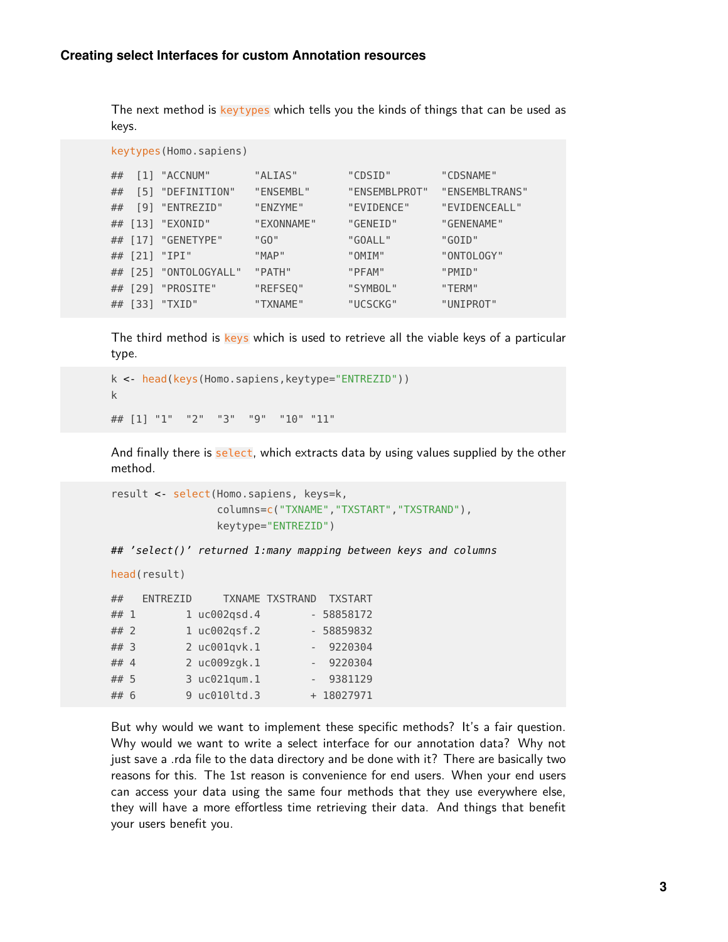The next method is keytypes which tells you the kinds of things that can be used as keys.

```
keytypes(Homo.sapiens)
```

| ## | [1] "ACCNUM"          | "ALIAS"    | "CDSID"       | "CDSNAME"      |
|----|-----------------------|------------|---------------|----------------|
| ## | $[5]$ "DEFINITION"    | "ENSEMBL"  | "ENSEMBLPROT" | "ENSEMBLTRANS" |
| ## | [9] "ENTREZID"        | "ENZYME"   | "EVIDENCE"    | "EVIDENCEALL"  |
|    | ## [13] "EXONID"      | "EXONNAME" | "GENEID"      | "GENENAME"     |
|    | ## [17] "GENETYPE"    | "GO"       | "GOALL"       | "GOID"         |
|    | ## [21] "IPI"         | "MAP"      | "OMIM"        | "ONTOLOGY"     |
|    | ## [25] "ONTOLOGYALL" | "PATH"     | "PFAM"        | "PMID"         |
|    | ## [29] "PROSITE"     | "REFSEQ"   | "SYMBOL"      | "TERM"         |
|    | ## [33] "TXID"        | "TXNAME"   | "UCSCKG"      | "UNIPROT"      |

The third method is keys which is used to retrieve all the viable keys of a particular type.

```
k <- head(keys(Homo.sapiens,keytype="ENTREZID"))
k
## [1] "1" "2" "3" "9" "10" "11"
```
And finally there is select, which extracts data by using values supplied by the other method.

```
result <- select(Homo.sapiens, keys=k,
                 columns=c("TXNAME","TXSTART","TXSTRAND"),
                 keytype="ENTREZID")
```
## 'select()' returned 1:many mapping between keys and columns

```
head(result)
```

| ##   | ENTREZID |              | TXNAME TXSTRAND | <b>TXSTART</b> |  |
|------|----------|--------------|-----------------|----------------|--|
| ## 1 |          | 1 uc002qsd.4 |                 | - 58858172     |  |
| ##2  |          | 1 uc002gsf.2 |                 | - 58859832     |  |
| ## 3 |          | 2 uc001qvk.1 |                 | 9220304        |  |
| ## 4 |          | 2 uc009zgk.1 |                 | 9220304        |  |
| ## 5 |          | 3 uc021qum.1 |                 | 9381129        |  |
| ## 6 |          | 9 uc010ltd.3 |                 | + 18027971     |  |
|      |          |              |                 |                |  |

But why would we want to implement these specific methods? It's a fair question. Why would we want to write a select interface for our annotation data? Why not just save a .rda file to the data directory and be done with it? There are basically two reasons for this. The 1st reason is convenience for end users. When your end users can access your data using the same four methods that they use everywhere else, they will have a more effortless time retrieving their data. And things that benefit your users benefit you.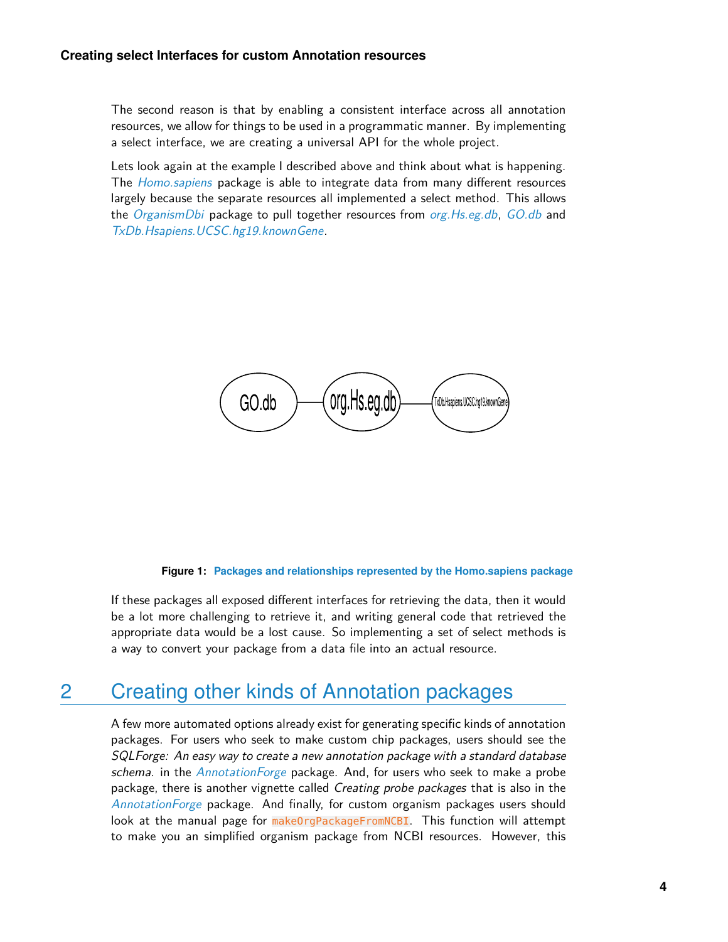The second reason is that by enabling a consistent interface across all annotation resources, we allow for things to be used in a programmatic manner. By implementing a select interface, we are creating a universal API for the whole project.

Lets look again at the example I described above and think about what is happening. The [Homo.sapiens](http://bioconductor.org/packages/Homo.sapiens) package is able to integrate data from many different resources largely because the separate resources all implemented a select method. This allows the [OrganismDbi](http://bioconductor.org/packages/OrganismDbi) package to pull together resources from org. Hs.eg.db, [GO.db](http://bioconductor.org/packages/GO.db) and [TxDb.Hsapiens.UCSC.hg19.knownGene](http://bioconductor.org/packages/TxDb.Hsapiens.UCSC.hg19.knownGene).

$$
\boxed{\text{GO.db}}{\text{org.Hs.eg.db}}^{\text{TvOb.Hsajens USSChg19} \text{knownGen}}
$$

#### **Figure 1: Packages and relationships represented by the Homo.sapiens package**

If these packages all exposed different interfaces for retrieving the data, then it would be a lot more challenging to retrieve it, and writing general code that retrieved the appropriate data would be a lost cause. So implementing a set of select methods is a way to convert your package from a data file into an actual resource.

## 2 Creating other kinds of Annotation packages

A few more automated options already exist for generating specific kinds of annotation packages. For users who seek to make custom chip packages, users should see the SQLForge: An easy way to create a new annotation package with a standard database schema. in the *[AnnotationForge](http://bioconductor.org/packages/AnnotationForge)* package. And, for users who seek to make a probe package, there is another vignette called *Creating probe packages* that is also in the [AnnotationForge](http://bioconductor.org/packages/AnnotationForge) package. And finally, for custom organism packages users should look at the manual page for makeOrgPackageFromNCBI. This function will attempt to make you an simplified organism package from NCBI resources. However, this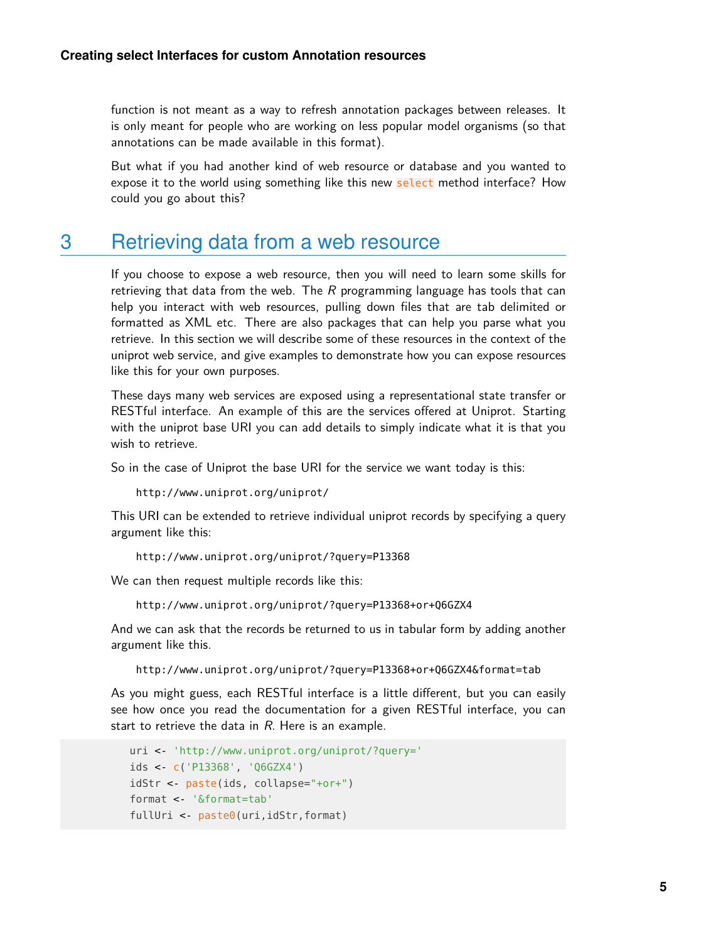function is not meant as a way to refresh annotation packages between releases. It is only meant for people who are working on less popular model organisms (so that annotations can be made available in this format).

But what if you had another kind of web resource or database and you wanted to expose it to the world using something like this new select method interface? How could you go about this?

## 3 Retrieving data from a web resource

If you choose to expose a web resource, then you will need to learn some skills for retrieving that data from the web. The  $R$  programming language has tools that can help you interact with web resources, pulling down files that are tab delimited or formatted as XML etc. There are also packages that can help you parse what you retrieve. In this section we will describe some of these resources in the context of the uniprot web service, and give examples to demonstrate how you can expose resources like this for your own purposes.

These days many web services are exposed using a representational state transfer or RESTful interface. An example of this are the services offered at Uniprot. Starting with the uniprot base URI you can add details to simply indicate what it is that you wish to retrieve.

So in the case of Uniprot the base URI for the service we want today is this:

http://www.uniprot.org/uniprot/

This URI can be extended to retrieve individual uniprot records by specifying a query argument like this:

http://www.uniprot.org/uniprot/?query=P13368

We can then request multiple records like this:

http://www.uniprot.org/uniprot/?query=P13368+or+Q6GZX4

And we can ask that the records be returned to us in tabular form by adding another argument like this.

http://www.uniprot.org/uniprot/?query=P13368+or+Q6GZX4&format=tab

As you might guess, each RESTful interface is a little different, but you can easily see how once you read the documentation for a given RESTful interface, you can start to retrieve the data in  $R$ . Here is an example.

```
uri <- 'http://www.uniprot.org/uniprot/?query='
ids <- c('P13368', 'Q6GZX4')
idStr <- paste(ids, collapse="+or+")
format <- '&format=tab'
fullUri <- paste0(uri,idStr,format)
```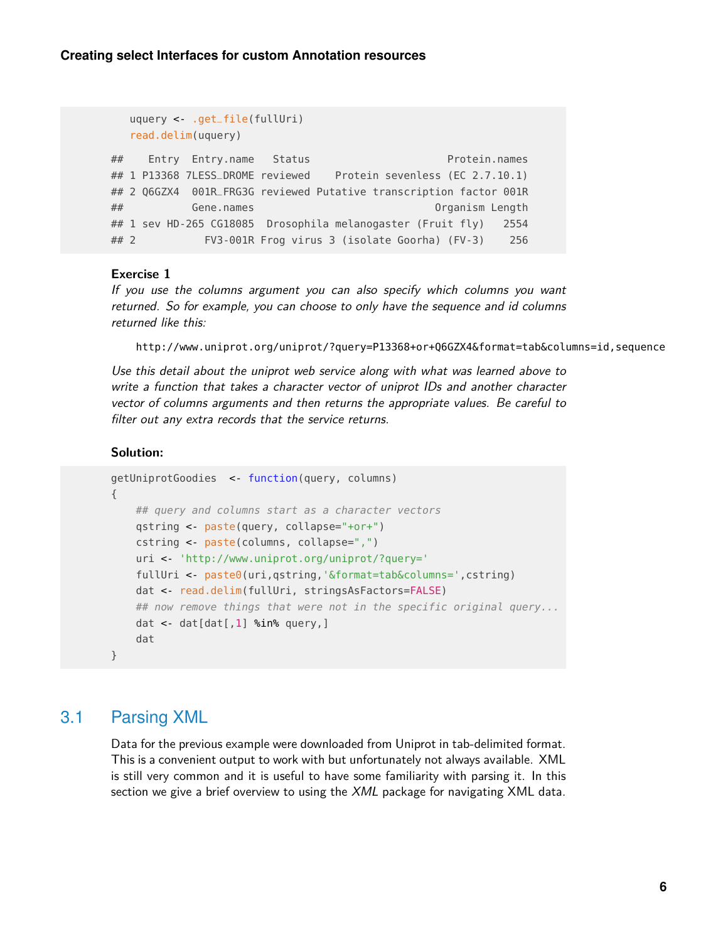```
uquery <- .get_file(fullUri)
  read.delim(uquery)
## Entry Entry.name Status Protein.names
## 1 P13368 7LESS_DROME reviewed Protein sevenless (EC 2.7.10.1)
## 2 Q6GZX4 001R_FRG3G reviewed Putative transcription factor 001R
## Gene.names Organism Length
## 1 sev HD-265 CG18085 Drosophila melanogaster (Fruit fly) 2554
## 2 FV3-001R Frog virus 3 (isolate Goorha) (FV-3) 256
```
### **Exercise 1**

If you use the columns argument you can also specify which columns you want returned. So for example, you can choose to only have the sequence and id columns returned like this:

```
http://www.uniprot.org/uniprot/?query=P13368+or+Q6GZX4&format=tab&columns=id,sequence
```
Use this detail about the uniprot web service along with what was learned above to write a function that takes a character vector of uniprot IDs and another character vector of columns arguments and then returns the appropriate values. Be careful to filter out any extra records that the service returns.

#### **Solution:**

```
getUniprotGoodies <- function(query, columns)
{
   ## query and columns start as a character vectors
   qstring <- paste(query, collapse="+or+")
    cstring <- paste(columns, collapse=",")
    uri <- 'http://www.uniprot.org/uniprot/?query='
   fullUri <- paste0(uri,qstring,'&format=tab&columns=',cstring)
   dat <- read.delim(fullUri, stringsAsFactors=FALSE)
   ## now remove things that were not in the specific original query...
   dat \leftarrow dat[dat[,1] %in% query,]
    dat
}
```
### 3.1 Parsing XML

Data for the previous example were downloaded from Uniprot in tab-delimited format. This is a convenient output to work with but unfortunately not always available. XML is still very common and it is useful to have some familiarity with parsing it. In this section we give a brief overview to using the XML package for navigating XML data.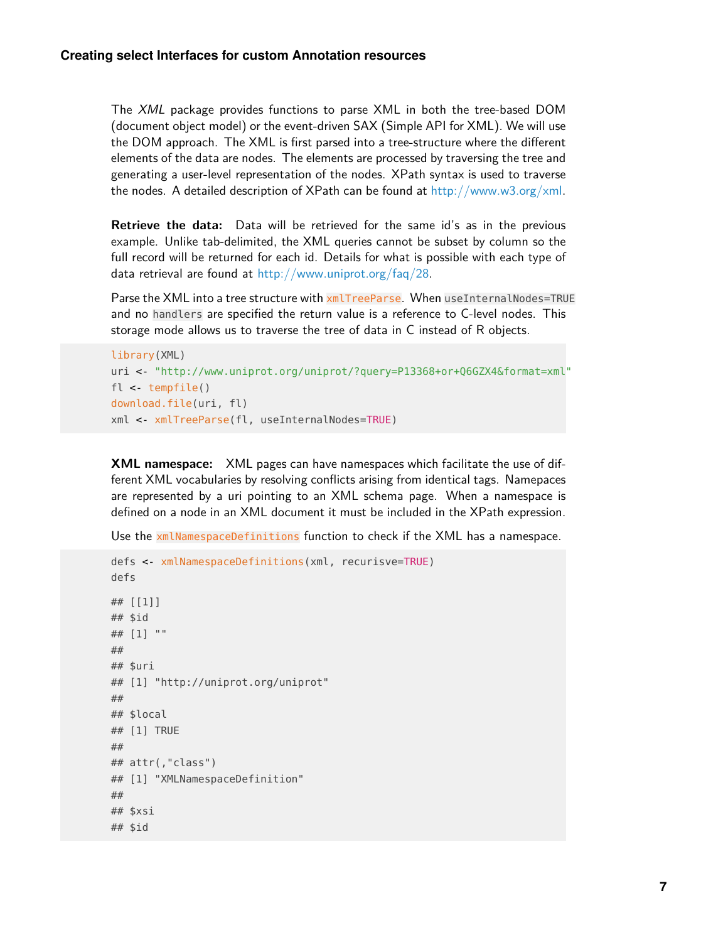The XML package provides functions to parse XML in both the tree-based DOM (document object model) or the event-driven SAX (Simple API for XML). We will use the DOM approach. The XML is first parsed into a tree-structure where the different elements of the data are nodes. The elements are processed by traversing the tree and generating a user-level representation of the nodes. XPath syntax is used to traverse the nodes. A detailed description of XPath can be found at  $http://www.w3.org/xml.$ 

**Retrieve the data:** Data will be retrieved for the same id's as in the previous example. Unlike tab-delimited, the XML queries cannot be subset by column so the full record will be returned for each id. Details for what is possible with each type of data retrieval are found at [http://www.uniprot.org/faq/28.](http://www.uniprot.org/faq/28)

Parse the XML into a tree structure with  $xm$ lTreeParse. When useInternalNodes=TRUE and no handlers are specified the return value is a reference to C-level nodes. This storage mode allows us to traverse the tree of data in C instead of R objects.

```
library(XML)
uri <- "http://www.uniprot.org/uniprot/?query=P13368+or+Q6GZX4&format=xml"
fl <- tempfile()
download.file(uri, fl)
xml <- xmlTreeParse(fl, useInternalNodes=TRUE)
```
**XML namespace:** XML pages can have namespaces which facilitate the use of different XML vocabularies by resolving conflicts arising from identical tags. Namepaces are represented by a uri pointing to an XML schema page. When a namespace is defined on a node in an XML document it must be included in the XPath expression.

Use the xmlNamespaceDefinitions function to check if the XML has a namespace.

```
defs <- xmlNamespaceDefinitions(xml, recurisve=TRUE)
defs
## [[1]]
## $id
## [1] ""
##
## $uri
## [1] "http://uniprot.org/uniprot"
##
## $local
## [1] TRUE
##
## attr(,"class")
## [1] "XMLNamespaceDefinition"
##
## $xsi
## $id
```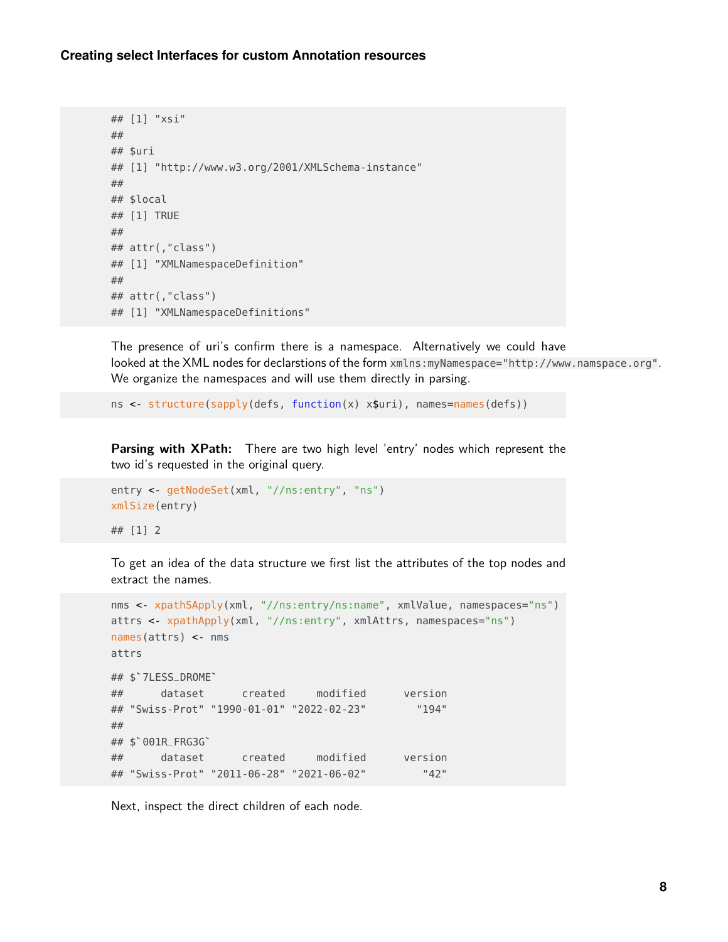#### **Creating select Interfaces for custom Annotation resources**

```
## [1] "xsi"
##
## $uri
## [1] "http://www.w3.org/2001/XMLSchema-instance"
##
## $local
## [1] TRUE
##
## attr(,"class")
## [1] "XMLNamespaceDefinition"
##
## attr(,"class")
## [1] "XMLNamespaceDefinitions"
```
The presence of uri's confirm there is a namespace. Alternatively we could have looked at the XML nodes for declarstions of the form xmlns:myNamespace="http://www.namspace.org". We organize the namespaces and will use them directly in parsing.

ns <- structure(sapply(defs, function(x) x\$uri), names=names(defs))

**Parsing with XPath:** There are two high level 'entry' nodes which represent the two id's requested in the original query.

```
entry <- getNodeSet(xml, "//ns:entry", "ns")
xmlSize(entry)
## [1] 2
```
To get an idea of the data structure we first list the attributes of the top nodes and extract the names.

```
nms <- xpathSApply(xml, "//ns:entry/ns:name", xmlValue, namespaces="ns")
attrs <- xpathApply(xml, "//ns:entry", xmlAttrs, namespaces="ns")
names(attrs) <- nms
attrs
## $`7LESS_DROME`
## dataset created modified version
## "Swiss-Prot" "1990-01-01" "2022-02-23" "194"
##
## dataset<br>## "Swiss-Prot"<br>## $`001R_FRG3G`
## dataset created modified version
## "Swiss-Prot" "2011-06-28" "2021-06-02" "42"
```
Next, inspect the direct children of each node.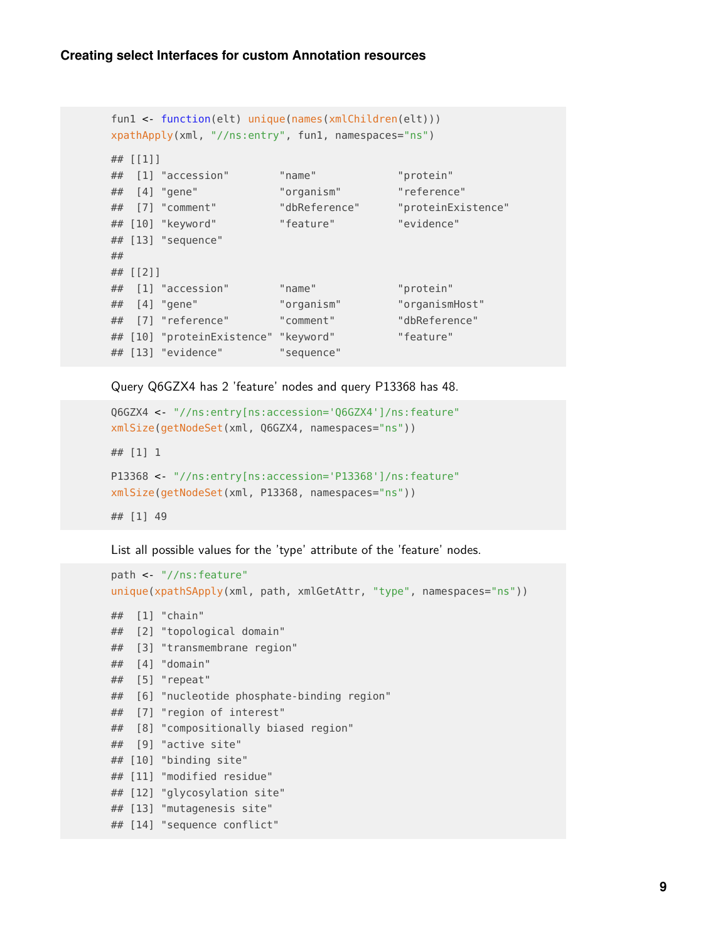```
fun1 <- function(elt) unique(names(xmlChildren(elt)))
xpathApply(xml, "//ns:entry", fun1, namespaces="ns")
## [[1]]
## [1] "accession" "name" "protein"
## [4] "gene" "organism" "reference"
## [7] "comment" "dbReference" "proteinExistence"
## [10] "keyword" "feature" "evidence"
## [13] "sequence"
##
## [[2]]
## [1] "accession" "name" "protein"
## [4] "gene" "organism" "organismHost"
## [7] "reference" "comment" "dbReference"
## [10] "proteinExistence" "keyword" "feature"
## [13] "evidence" "sequence"
```
Query Q6GZX4 has 2 'feature' nodes and query P13368 has 48.

```
Q6GZX4 <- "//ns:entry[ns:accession='Q6GZX4']/ns:feature"
xmlSize(getNodeSet(xml, Q6GZX4, namespaces="ns"))
## [1] 1
P13368 <- "//ns:entry[ns:accession='P13368']/ns:feature"
xmlSize(getNodeSet(xml, P13368, namespaces="ns"))
## [1] 49
```
List all possible values for the 'type' attribute of the 'feature' nodes.

```
path <- "//ns:feature"
unique(xpathSApply(xml, path, xmlGetAttr, "type", namespaces="ns"))
## [1] "chain"
## [2] "topological domain"
## [3] "transmembrane region"
## [4] "domain"
## [5] "repeat"
## [6] "nucleotide phosphate-binding region"
## [7] "region of interest"
## [8] "compositionally biased region"
## [9] "active site"
## [10] "binding site"
## [11] "modified residue"
## [12] "glycosylation site"
## [13] "mutagenesis site"
## [14] "sequence conflict"
```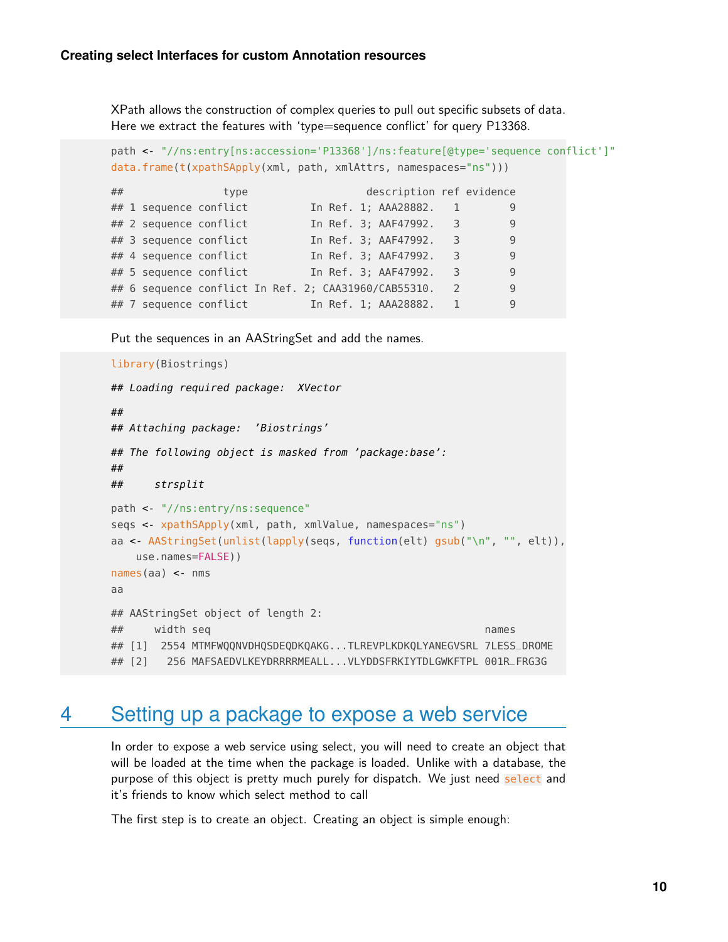XPath allows the construction of complex queries to pull out specific subsets of data. Here we extract the features with 'type=sequence conflict' for query P13368.

```
path <- "//ns:entry[ns:accession='P13368']/ns:feature[@type='sequence conflict']"
data.frame(t(xpathSApply(xml, path, xmlAttrs, namespaces="ns")))
```

| ## |                        | type |  |  | description ref evidence                             |               |   |  |
|----|------------------------|------|--|--|------------------------------------------------------|---------------|---|--|
|    | ## 1 sequence conflict |      |  |  | In Ref. 1; AAA28882.                                 |               | 9 |  |
|    | ## 2 sequence conflict |      |  |  | In Ref. 3; AAF47992. 3                               |               | 9 |  |
|    | ## 3 sequence conflict |      |  |  | In Ref. 3; AAF47992.                                 | 3             | 9 |  |
|    | ## 4 sequence conflict |      |  |  | In Ref. 3; AAF47992.                                 | 3             | 9 |  |
|    | ## 5 sequence conflict |      |  |  | In Ref. 3; AAF47992.                                 | 3             | 9 |  |
|    |                        |      |  |  | ## 6 sequence conflict In Ref. 2; CAA31960/CAB55310. | $\mathcal{L}$ | 9 |  |
|    | ## 7 sequence conflict |      |  |  | In Ref. 1; AAA28882.                                 |               | 9 |  |

Put the sequences in an AAStringSet and add the names.

```
library(Biostrings)
## Loading required package: XVector
##
## Attaching package: 'Biostrings'
## The following object is masked from 'package:base':
##
## strsplit
path <- "//ns:entry/ns:sequence"
seqs <- xpathSApply(xml, path, xmlValue, namespaces="ns")
aa <- AAStringSet(unlist(lapply(seqs, function(elt) gsub("\n", "", elt)),
   use.names=FALSE))
names(aa) <- nms
aa
## AAStringSet object of length 2:
## width seq names
## [1] 2554 MTMFWQQNVDHQSDEQDKQAKG...TLREVPLKDKQLYANEGVSRL 7LESS_DROME
## [2] 256 MAFSAEDVLKEYDRRRRMEALL...VLYDDSFRKIYTDLGWKFTPL 001R_FRG3G
```
## 4 Setting up a package to expose a web service

In order to expose a web service using select, you will need to create an object that will be loaded at the time when the package is loaded. Unlike with a database, the purpose of this object is pretty much purely for dispatch. We just need select and it's friends to know which select method to call

The first step is to create an object. Creating an object is simple enough: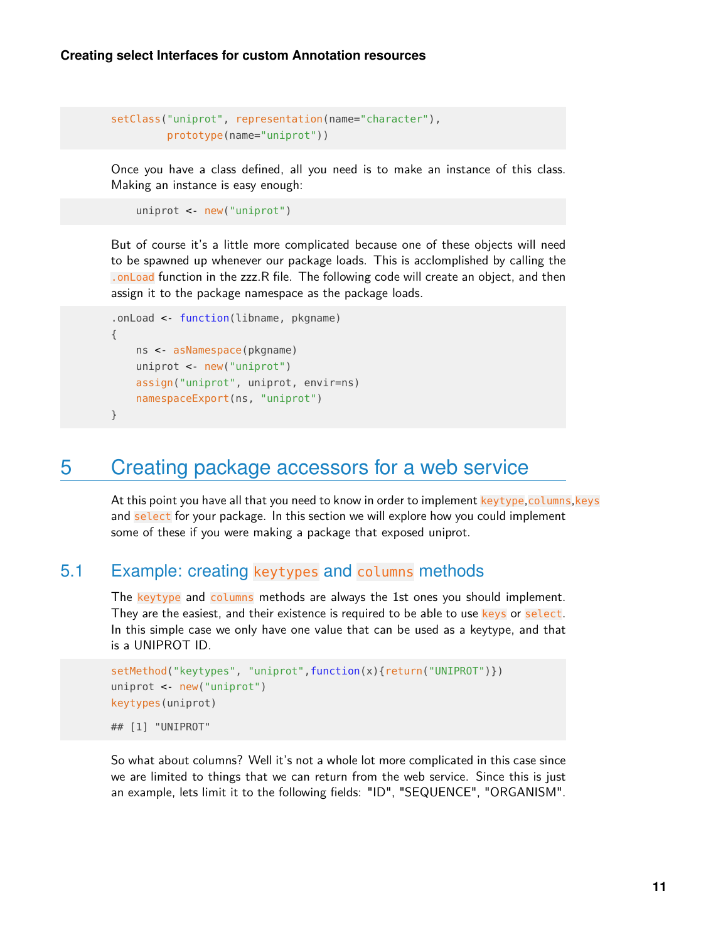```
setClass("uniprot", representation(name="character"),
         prototype(name="uniprot"))
```
Once you have a class defined, all you need is to make an instance of this class. Making an instance is easy enough:

```
uniprot <- new("uniprot")
```
But of course it's a little more complicated because one of these objects will need to be spawned up whenever our package loads. This is acclomplished by calling the .onLoad function in the zzz.R file. The following code will create an object, and then assign it to the package namespace as the package loads.

```
.onLoad <- function(libname, pkgname)
{
   ns <- asNamespace(pkgname)
    uniprot <- new("uniprot")
    assign("uniprot", uniprot, envir=ns)
   namespaceExport(ns, "uniprot")
}
```
# 5 Creating package accessors for a web service

At this point you have all that you need to know in order to implement keytype, columns, keys and select for your package. In this section we will explore how you could implement some of these if you were making a package that exposed uniprot.

## 5.1 Example: creating keytypes and columns methods

The keytype and columns methods are always the 1st ones you should implement. They are the easiest, and their existence is required to be able to use keys or select. In this simple case we only have one value that can be used as a keytype, and that is a UNIPROT ID.

```
setMethod("keytypes", "uniprot",function(x){return("UNIPROT")})
uniprot <- new("uniprot")
keytypes(uniprot)
## [1] "UNIPROT"
```
So what about columns? Well it's not a whole lot more complicated in this case since we are limited to things that we can return from the web service. Since this is just an example, lets limit it to the following fields: "ID", "SEQUENCE", "ORGANISM".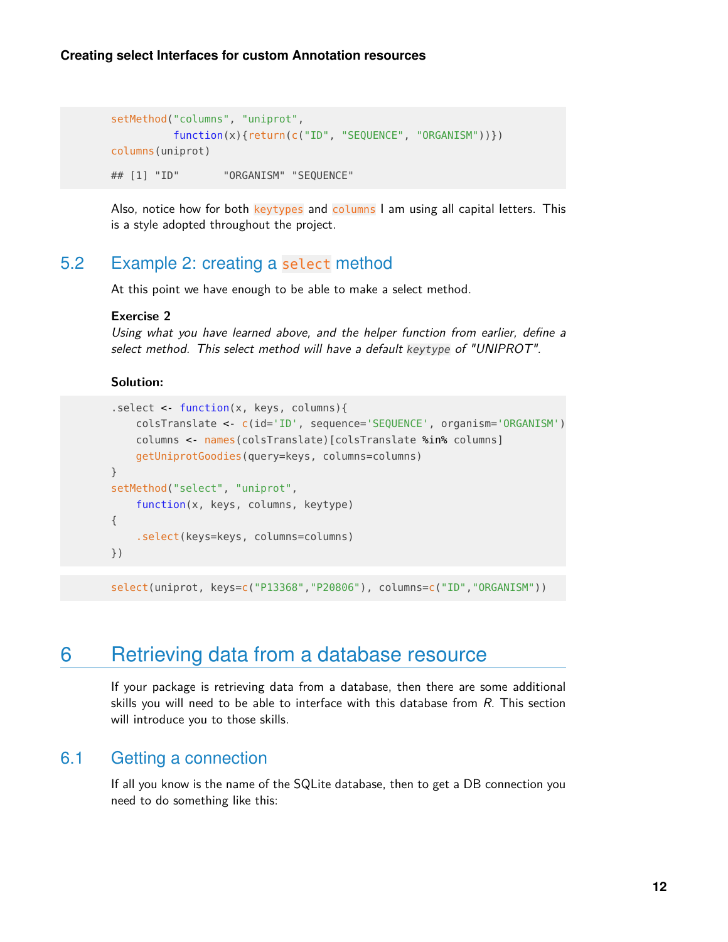```
setMethod("columns", "uniprot",
         function(x){return(c("ID", "SEQUENCE", "ORGANISM"))})
columns(uniprot)
## [1] "ID" "ORGANISM" "SEQUENCE"
```
Also, notice how for both keytypes and columns I am using all capital letters. This is a style adopted throughout the project.

## 5.2 Example 2: creating a select method

At this point we have enough to be able to make a select method.

#### **Exercise 2**

Using what you have learned above, and the helper function from earlier, define a select method. This select method will have a default keytype of "UNIPROT".

### **Solution:**

```
.select <- function(x, keys, columns){
    colsTranslate <- c(id='ID', sequence='SEQUENCE', organism='ORGANISM')
    columns <- names(colsTranslate)[colsTranslate %in% columns]
    getUniprotGoodies(query=keys, columns=columns)
}
setMethod("select", "uniprot",
    function(x, keys, columns, keytype)
{
    .select(keys=keys, columns=columns)
})
```
select(uniprot, keys=c("P13368","P20806"), columns=c("ID","ORGANISM"))

# 6 Retrieving data from a database resource

If your package is retrieving data from a database, then there are some additional skills you will need to be able to interface with this database from  $R$ . This section will introduce you to those skills.

## 6.1 Getting a connection

If all you know is the name of the SQLite database, then to get a DB connection you need to do something like this: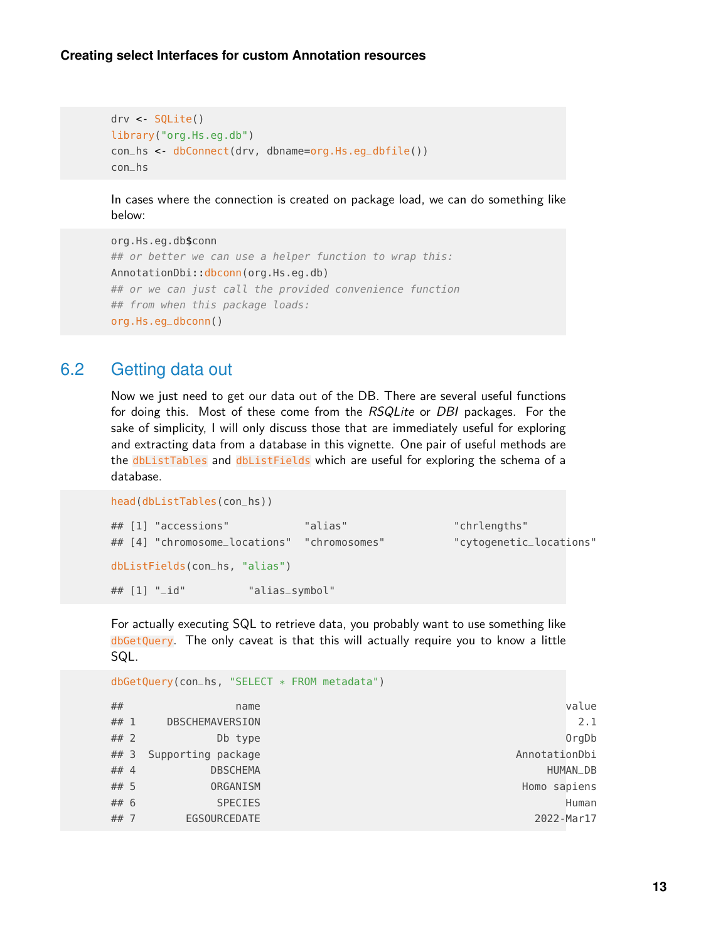```
drv <- SQLite()
library("org.Hs.eg.db")
con_hs <- dbConnect(drv, dbname=org.Hs.eg_dbfile())
con_hs
```
In cases where the connection is created on package load, we can do something like below:

```
org.Hs.eg.db$conn
## or better we can use a helper function to wrap this:
AnnotationDbi::dbconn(org.Hs.eg.db)
## or we can just call the provided convenience function
## from when this package loads:
org.Hs.eg_dbconn()
```
## 6.2 Getting data out

Now we just need to get our data out of the DB. There are several useful functions for doing this. Most of these come from the RSQLite or DBI packages. For the sake of simplicity, I will only discuss those that are immediately useful for exploring and extracting data from a database in this vignette. One pair of useful methods are the dbListTables and dbListFields which are useful for exploring the schema of a database.

```
head(dbListTables(con_hs))
## [1] "accessions" "alias" "chrlengths"
## [4] "chromosome_locations" "chromosomes" "cytogenetic_locations"
dbListFields(con_hs, "alias")
## [1] "_id" "alias_symbol"
```
For actually executing SQL to retrieve data, you probably want to use something like dbGetQuery. The only caveat is that this will actually require you to know a little SQL.

```
dbGetQuery(con_hs, "SELECT * FROM metadata")
## name value
## 1 DBSCHEMAVERSION 2.1
## 2 Db type OrgDb
## 3 Supporting package AnnotationDbi
## 4 DBSCHEMA https://www.astate.com/watch?usert.com/watch?usert.com/watch?usert.com/watch?usert.com/watch?usert.com/
## 5 ORGANISM Homo sapiens
## 6 SPECIES Human
## 7 EGSOURCEDATE 2022-Mar17
```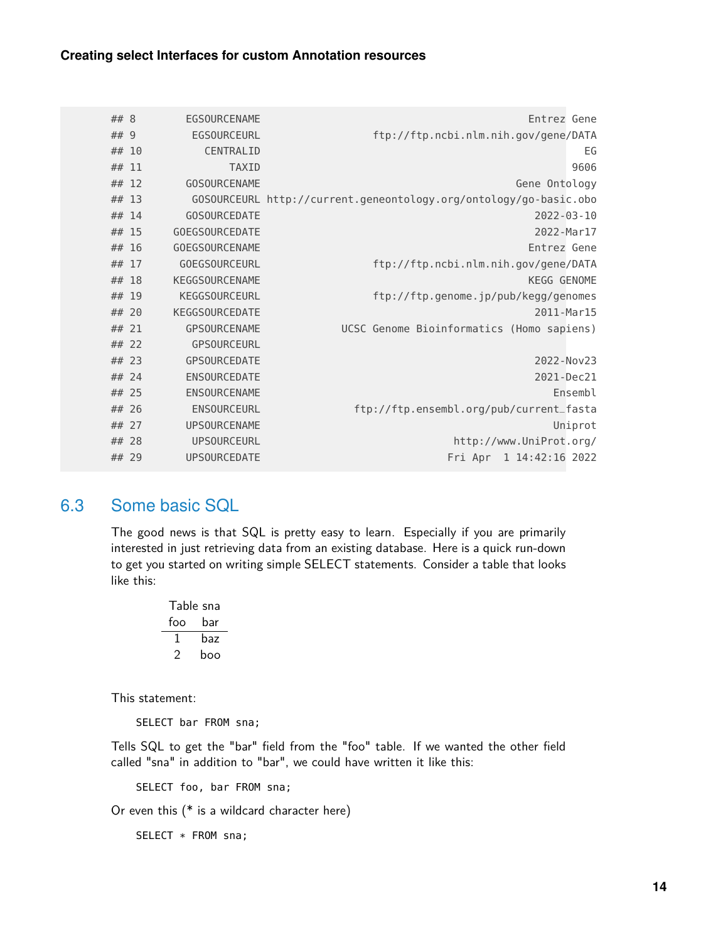| ## 8  |       | EGSOURCENAME          | Entrez Gene                                                       |
|-------|-------|-----------------------|-------------------------------------------------------------------|
| ## 9  |       | <b>EGSOURCEURL</b>    | ftp://ftp.ncbi.nlm.nih.gov/gene/DATA                              |
|       | ## 10 | CENTRALID             | EG                                                                |
| ## 11 |       | <b>TAXID</b>          | 9606                                                              |
|       | ## 12 | <b>GOSOURCENAME</b>   | Gene Ontology                                                     |
| ## 13 |       |                       | GOSOURCEURL http://current.geneontology.org/ontology/go-basic.obo |
| ## 14 |       | <b>GOSOURCEDATE</b>   | $2022 - 03 - 10$                                                  |
|       | ## 15 | <b>GOEGSOURCEDATE</b> | 2022-Mar17                                                        |
|       | ## 16 | <b>GOEGSOURCENAME</b> | Entrez Gene                                                       |
|       | ## 17 | <b>GOEGSOURCEURL</b>  | ftp://ftp.ncbi.nlm.nih.gov/gene/DATA                              |
| ## 18 |       | <b>KEGGSOURCENAME</b> | <b>KEGG GENOME</b>                                                |
| ## 19 |       | <b>KEGGSOURCEURL</b>  | ftp://ftp.genome.jp/pub/kegg/genomes                              |
|       | ## 20 | <b>KEGGSOURCEDATE</b> | 2011-Mar15                                                        |
|       | ## 21 | <b>GPSOURCENAME</b>   | UCSC Genome Bioinformatics (Homo sapiens)                         |
| ## 22 |       | GPSOURCEURL           |                                                                   |
|       | ## 23 | <b>GPSOURCEDATE</b>   | 2022-Nov23                                                        |
| ## 24 |       | <b>ENSOURCEDATE</b>   | 2021-Dec21                                                        |
|       | ## 25 | ENSOURCENAME          | Ensembl                                                           |
|       | ## 26 | ENSOURCEURL           | ftp://ftp.ensembl.org/pub/current_fasta                           |
| ## 27 |       | <b>UPSOURCENAME</b>   | Uniprot                                                           |
|       | ## 28 | <b>UPSOURCEURL</b>    | http://www.UniProt.org/                                           |
|       | ## 29 | <b>UPSOURCEDATE</b>   | Fri Apr 1 14:42:16 2022                                           |

## 6.3 Some basic SQL

The good news is that SQL is pretty easy to learn. Especially if you are primarily interested in just retrieving data from an existing database. Here is a quick run-down to get you started on writing simple SELECT statements. Consider a table that looks like this:

| Table sna |     |
|-----------|-----|
| foo       | bar |
| L         | baz |
| ╯         | boo |

This statement:

SELECT bar FROM sna;

Tells SQL to get the "bar" field from the "foo" table. If we wanted the other field called "sna" in addition to "bar", we could have written it like this:

SELECT foo, bar FROM sna;

Or even this (\* is a wildcard character here)

SELECT \* FROM sna;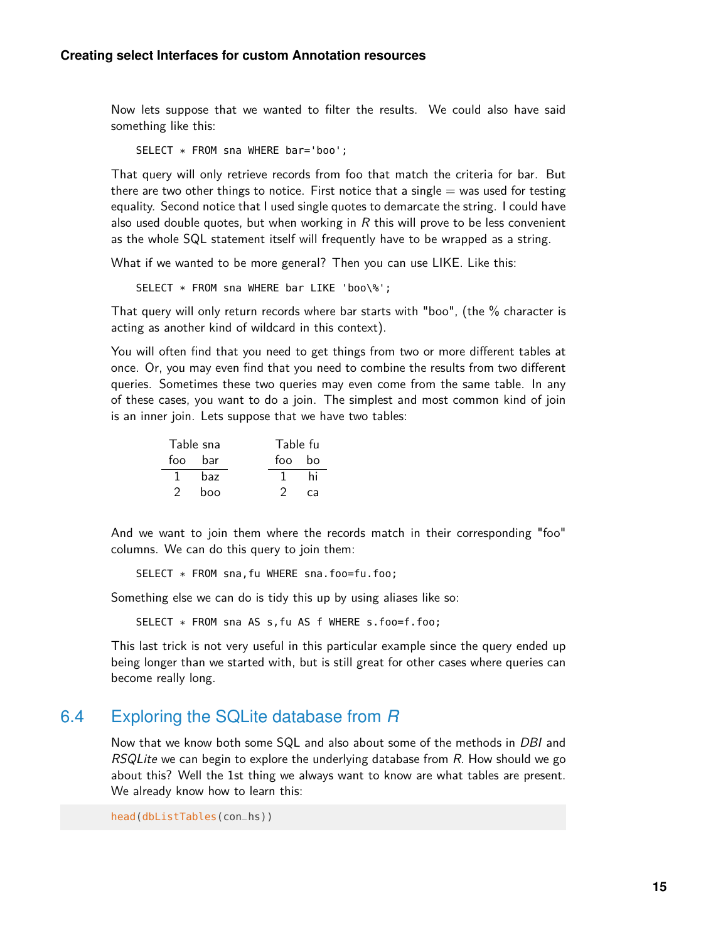Now lets suppose that we wanted to filter the results. We could also have said something like this:

SELECT \* FROM sna WHERE bar='boo';

That query will only retrieve records from foo that match the criteria for bar. But there are two other things to notice. First notice that a single  $=$  was used for testing equality. Second notice that I used single quotes to demarcate the string. I could have also used double quotes, but when working in  $R$  this will prove to be less convenient as the whole SQL statement itself will frequently have to be wrapped as a string.

What if we wanted to be more general? Then you can use LIKE. Like this:

SELECT \* FROM sna WHERE bar LIKE 'boo\%';

That query will only return records where bar starts with "boo", (the % character is acting as another kind of wildcard in this context).

You will often find that you need to get things from two or more different tables at once. Or, you may even find that you need to combine the results from two different queries. Sometimes these two queries may even come from the same table. In any of these cases, you want to do a join. The simplest and most common kind of join is an inner join. Lets suppose that we have two tables:

|   | Table sna | Table fu |    |
|---|-----------|----------|----|
|   | foo bar   | foo bo   |    |
|   | haz       |          | hi |
| 2 | boo       |          | са |

And we want to join them where the records match in their corresponding "foo" columns. We can do this query to join them:

SELECT \* FROM sna,fu WHERE sna.foo=fu.foo;

Something else we can do is tidy this up by using aliases like so:

SELECT \* FROM sna AS s,fu AS f WHERE s.foo=f.foo;

This last trick is not very useful in this particular example since the query ended up being longer than we started with, but is still great for other cases where queries can become really long.

### 6.4 Exploring the SQLite database from *R*

Now that we know both some SQL and also about some of the methods in *DBI* and RSQLite we can begin to explore the underlying database from  $R$ . How should we go about this? Well the 1st thing we always want to know are what tables are present. We already know how to learn this:

head(dbListTables(con\_hs))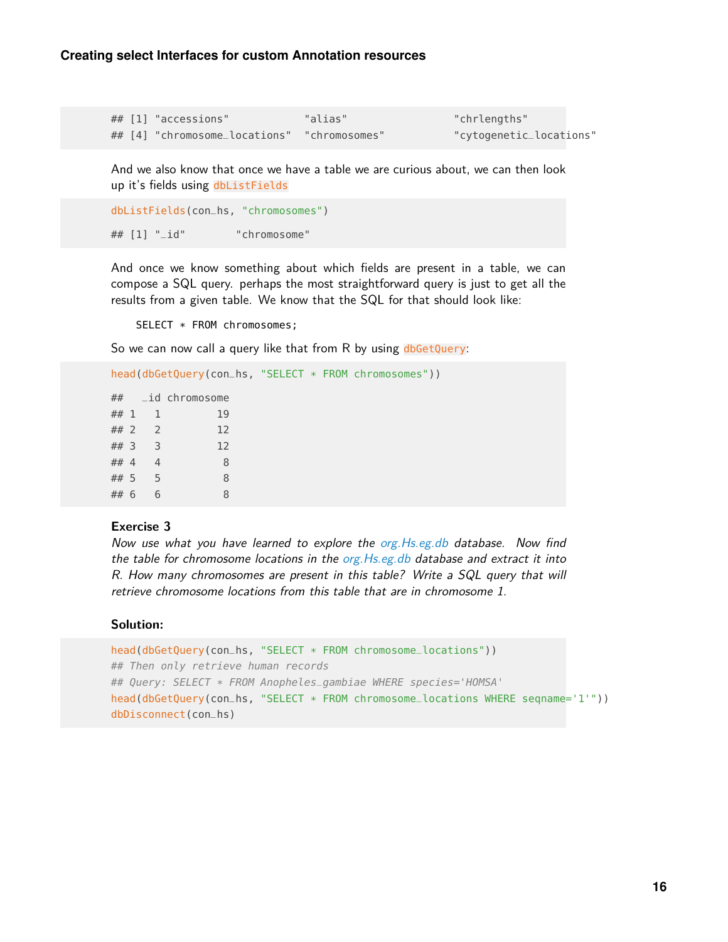| ## [1] "accessions"                         | "alias" | "chrlengths"            |
|---------------------------------------------|---------|-------------------------|
| ## [4] "chromosome_locations" "chromosomes" |         | "cytogenetic_locations" |

And we also know that once we have a table we are curious about, we can then look up it's fields using dbListFields

```
dbListFields(con_hs, "chromosomes")
## [1] "_id" "chromosome"
```
And once we know something about which fields are present in a table, we can compose a SQL query. perhaps the most straightforward query is just to get all the results from a given table. We know that the SQL for that should look like:

SELECT \* FROM chromosomes;

So we can now call a query like that from R by using dbGetQuery:

```
head(dbGetQuery(con_hs, "SELECT * FROM chromosomes"))
```

```
## _id chromosome
## 1 1 19
## 2 2 12
## 3 3 12
## 4 4 8
## 5 5 8
## 6 6 8
```
#### **Exercise 3**

Now use what you have learned to explore the org. Hs.eg.db database. Now find the table for chromosome locations in the  $org.Hs. eg. db$  database and extract it into R. How many chromosomes are present in this table? Write a SQL query that will retrieve chromosome locations from this table that are in chromosome 1.

#### **Solution:**

```
head(dbGetQuery(con_hs, "SELECT * FROM chromosome_locations"))
## Then only retrieve human records
## Query: SELECT * FROM Anopheles_gambiae WHERE species='HOMSA'
head(dbGetQuery(con_hs, "SELECT * FROM chromosome_locations WHERE seqname='1'"))
dbDisconnect(con_hs)
```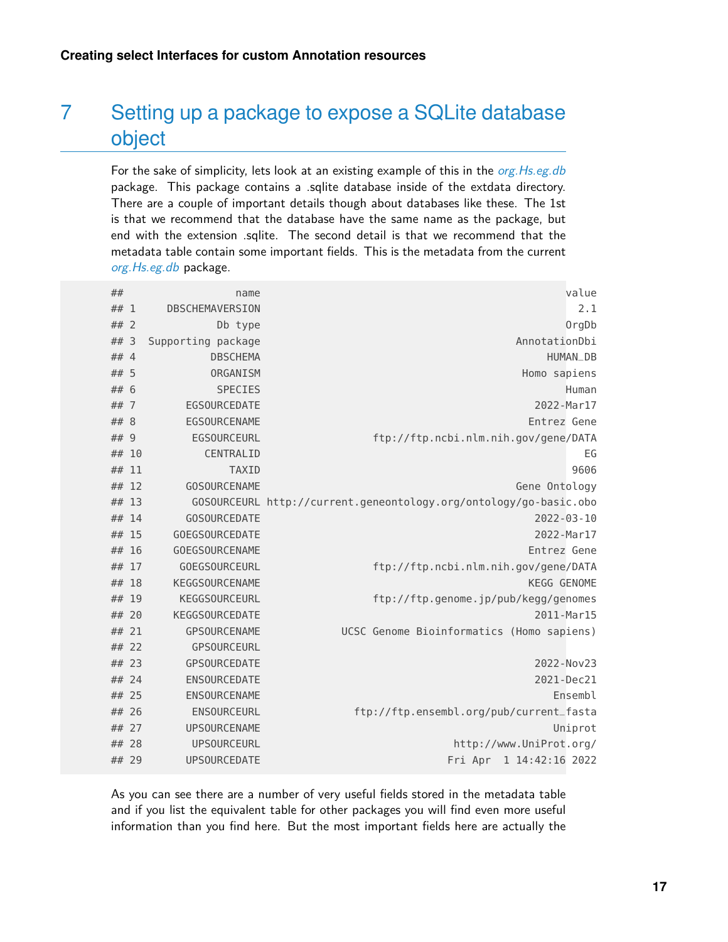# 7 Setting up a package to expose a SQLite database object

For the sake of simplicity, lets look at an existing example of this in the *[org.Hs.eg.db](http://bioconductor.org/packages/org.Hs.eg.db)* package. This package contains a .sqlite database inside of the extdata directory. There are a couple of important details though about databases like these. The 1st is that we recommend that the database have the same name as the package, but end with the extension .sqlite. The second detail is that we recommend that the metadata table contain some important fields. This is the metadata from the current [org.Hs.eg.db](http://bioconductor.org/packages/org.Hs.eg.db) package.

| ##    |   | name                  | value                                                             |
|-------|---|-----------------------|-------------------------------------------------------------------|
| ## 1  |   | DBSCHEMAVERSION       | 2.1                                                               |
| ## 2  |   | Db type               | OrgDb                                                             |
| ##    | 3 | Supporting package    | AnnotationDbi                                                     |
| ## 4  |   | <b>DBSCHEMA</b>       | <b>HUMAN_DB</b>                                                   |
| ## 5  |   | ORGANISM              | Homo sapiens                                                      |
| ## 6  |   | <b>SPECIES</b>        | Human                                                             |
| ## 7  |   | <b>EGSOURCEDATE</b>   | 2022-Mar17                                                        |
| ## 8  |   | <b>EGSOURCENAME</b>   | Entrez Gene                                                       |
| ## 9  |   | <b>EGSOURCEURL</b>    | ftp://ftp.ncbi.nlm.nih.gov/gene/DATA                              |
| ## 10 |   | CENTRALID             | EG                                                                |
| ## 11 |   | <b>TAXID</b>          | 9606                                                              |
| ## 12 |   | <b>GOSOURCENAME</b>   | Gene Ontology                                                     |
| ## 13 |   |                       | GOSOURCEURL http://current.geneontology.org/ontology/go-basic.obo |
| ## 14 |   | <b>GOSOURCEDATE</b>   | $2022 - 03 - 10$                                                  |
| ## 15 |   | <b>GOEGSOURCEDATE</b> | 2022-Mar17                                                        |
| ## 16 |   | <b>GOEGSOURCENAME</b> | Entrez Gene                                                       |
| ## 17 |   | <b>GOEGSOURCEURL</b>  | ftp://ftp.ncbi.nlm.nih.gov/gene/DATA                              |
| ## 18 |   | <b>KEGGSOURCENAME</b> | KEGG GENOME                                                       |
| ## 19 |   | <b>KEGGSOURCEURL</b>  | ftp://ftp.genome.jp/pub/kegg/genomes                              |
| ## 20 |   | <b>KEGGSOURCEDATE</b> | 2011-Mar15                                                        |
| ## 21 |   | <b>GPSOURCENAME</b>   | UCSC Genome Bioinformatics (Homo sapiens)                         |
| ## 22 |   | <b>GPSOURCEURL</b>    |                                                                   |
| ## 23 |   | GPSOURCEDATE          | 2022-Nov23                                                        |
| ## 24 |   | <b>ENSOURCEDATE</b>   | 2021-Dec21                                                        |
| ## 25 |   | ENSOURCENAME          | Ensembl                                                           |
| ## 26 |   | ENSOURCEURL           | ftp://ftp.ensembl.org/pub/current_fasta                           |
| ## 27 |   | <b>UPSOURCENAME</b>   | Uniprot                                                           |
| ## 28 |   | <b>UPSOURCEURL</b>    | http://www.UniProt.org/                                           |
| ## 29 |   | <b>UPSOURCEDATE</b>   | Fri Apr<br>1 14:42:16 2022                                        |

As you can see there are a number of very useful fields stored in the metadata table and if you list the equivalent table for other packages you will find even more useful information than you find here. But the most important fields here are actually the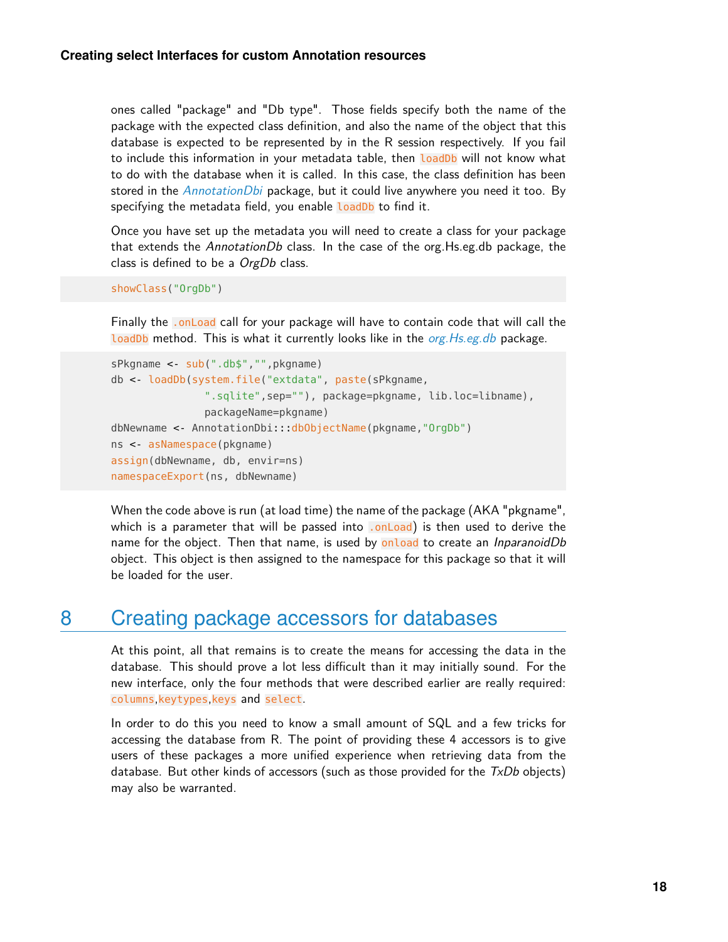ones called "package" and "Db type". Those fields specify both the name of the package with the expected class definition, and also the name of the object that this database is expected to be represented by in the R session respectively. If you fail to include this information in your metadata table, then loadDb will not know what to do with the database when it is called. In this case, the class definition has been stored in the *[AnnotationDbi](http://bioconductor.org/packages/AnnotationDbi)* package, but it could live anywhere you need it too. By specifying the metadata field, you enable **loadDb** to find it.

Once you have set up the metadata you will need to create a class for your package that extends the AnnotationDb class. In the case of the org. Hs.eg.db package, the class is defined to be a OrgDb class.

```
showClass("OrgDb")
```
Finally the .onLoad call for your package will have to contain code that will call the loadDb method. This is what it currently looks like in the *[org.Hs.eg.db](http://bioconductor.org/packages/org.Hs.eg.db)* package.

```
sPkgname <- sub(".db$","",pkgname)
db <- loadDb(system.file("extdata", paste(sPkgname,
               ".sqlite",sep=""), package=pkgname, lib.loc=libname),
               packageName=pkgname)
dbNewname <- AnnotationDbi:::dbObjectName(pkgname,"OrgDb")
ns <- asNamespace(pkgname)
assign(dbNewname, db, envir=ns)
namespaceExport(ns, dbNewname)
```
When the code above is run (at load time) the name of the package (AKA "pkgname", which is a parameter that will be passed into  $.$  onLoad) is then used to derive the name for the object. Then that name, is used by onload to create an *InparanoidDb* object. This object is then assigned to the namespace for this package so that it will be loaded for the user.

## 8 Creating package accessors for databases

At this point, all that remains is to create the means for accessing the data in the database. This should prove a lot less difficult than it may initially sound. For the new interface, only the four methods that were described earlier are really required: columns,keytypes,keys and select.

In order to do this you need to know a small amount of SQL and a few tricks for accessing the database from R. The point of providing these 4 accessors is to give users of these packages a more unified experience when retrieving data from the database. But other kinds of accessors (such as those provided for the  $TxDb$  objects) may also be warranted.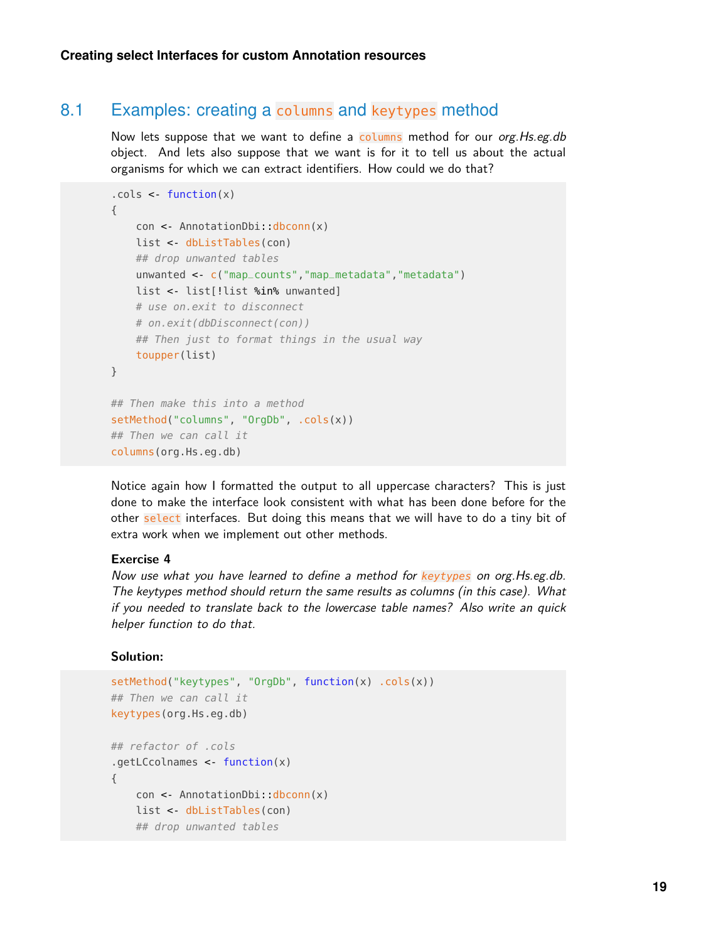### 8.1 Examples: creating a columns and keytypes method

Now lets suppose that we want to define a columns method for our org. Hs.eg.db object. And lets also suppose that we want is for it to tell us about the actual organisms for which we can extract identifiers. How could we do that?

```
.close < - function(x){
    con <- AnnotationDbi::dbconn(x)
   list <- dbListTables(con)
    ## drop unwanted tables
    unwanted <- c("map_counts","map_metadata","metadata")
    list <- list[!list %in% unwanted]
    # use on.exit to disconnect
    # on.exit(dbDisconnect(con))
    ## Then just to format things in the usual way
    toupper(list)
}
## Then make this into a method
setMethod("columns", "OrgDb", .cols(x))
## Then we can call it
columns(org.Hs.eg.db)
```
Notice again how I formatted the output to all uppercase characters? This is just done to make the interface look consistent with what has been done before for the other select interfaces. But doing this means that we will have to do a tiny bit of extra work when we implement out other methods.

#### **Exercise 4**

Now use what you have learned to define a method for keytypes on org. Hs.eg.db. The keytypes method should return the same results as columns (in this case). What if you needed to translate back to the lowercase table names? Also write an quick helper function to do that.

### **Solution:**

```
setMethod("keytypes", "OrgDb", function(x) .cols(x))
## Then we can call it
keytypes(org.Hs.eg.db)
## refactor of .cols
.getLCcolnames <- function(x)
{
    con <- AnnotationDbi::dbconn(x)
   list <- dbListTables(con)
    ## drop unwanted tables
```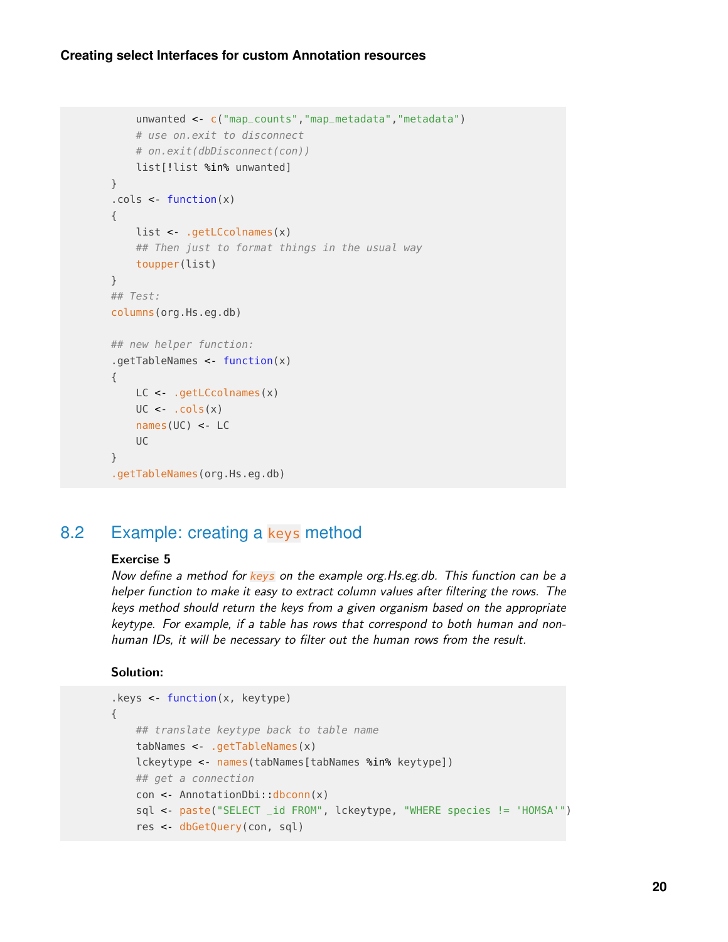### **Creating select Interfaces for custom Annotation resources**

```
unwanted <- c("map_counts","map_metadata","metadata")
    # use on.exit to disconnect
    # on.exit(dbDisconnect(con))
    list[!list %in% unwanted]
}
.cols <- function(x)
{
    list <- .getLCcolnames(x)
    ## Then just to format things in the usual way
    toupper(list)
}
## Test:
columns(org.Hs.eg.db)
## new helper function:
.getTableNames <- function(x)
{
    LC <- .getLCcolnames(x)
    UC \leftarrow cols(x)names(UC) <- LC
    \mathsf{U} \mathsf{C}}
.getTableNames(org.Hs.eg.db)
```
## 8.2 Example: creating a keys method

#### **Exercise 5**

Now define a method for keys on the example org. Hs.eg.db. This function can be a helper function to make it easy to extract column values after filtering the rows. The keys method should return the keys from a given organism based on the appropriate keytype. For example, if a table has rows that correspond to both human and nonhuman IDs, it will be necessary to filter out the human rows from the result.

#### **Solution:**

```
.keys <- function(x, keytype)
{
   ## translate keytype back to table name
   tabNames <- .getTableNames(x)
   lckeytype <- names(tabNames[tabNames %in% keytype])
   ## get a connection
   con <- AnnotationDbi::dbconn(x)
   sql <- paste("SELECT _id FROM", lckeytype, "WHERE species != 'HOMSA'")
    res <- dbGetQuery(con, sql)
```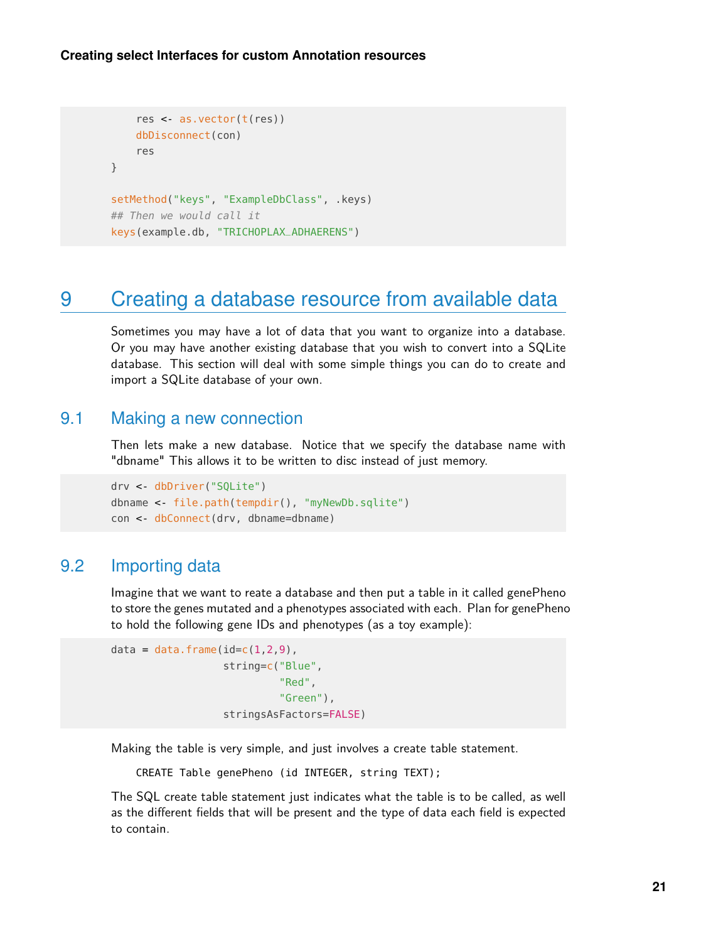```
res <- as.vector(t(res))
   dbDisconnect(con)
    res
}
setMethod("keys", "ExampleDbClass", .keys)
## Then we would call it
keys(example.db, "TRICHOPLAX_ADHAERENS")
```
# 9 Creating a database resource from available data

Sometimes you may have a lot of data that you want to organize into a database. Or you may have another existing database that you wish to convert into a SQLite database. This section will deal with some simple things you can do to create and import a SQLite database of your own.

### 9.1 Making a new connection

Then lets make a new database. Notice that we specify the database name with "dbname" This allows it to be written to disc instead of just memory.

```
drv <- dbDriver("SQLite")
dbname <- file.path(tempdir(), "myNewDb.sqlite")
con <- dbConnect(drv, dbname=dbname)
```
## 9.2 Importing data

Imagine that we want to reate a database and then put a table in it called genePheno to store the genes mutated and a phenotypes associated with each. Plan for genePheno to hold the following gene IDs and phenotypes (as a toy example):

```
data = data.frame(id=c(1,2,9),string=c("Blue",
                           "Red",
                            "Green"),
                  stringsAsFactors=FALSE)
```
Making the table is very simple, and just involves a create table statement.

CREATE Table genePheno (id INTEGER, string TEXT);

The SQL create table statement just indicates what the table is to be called, as well as the different fields that will be present and the type of data each field is expected to contain.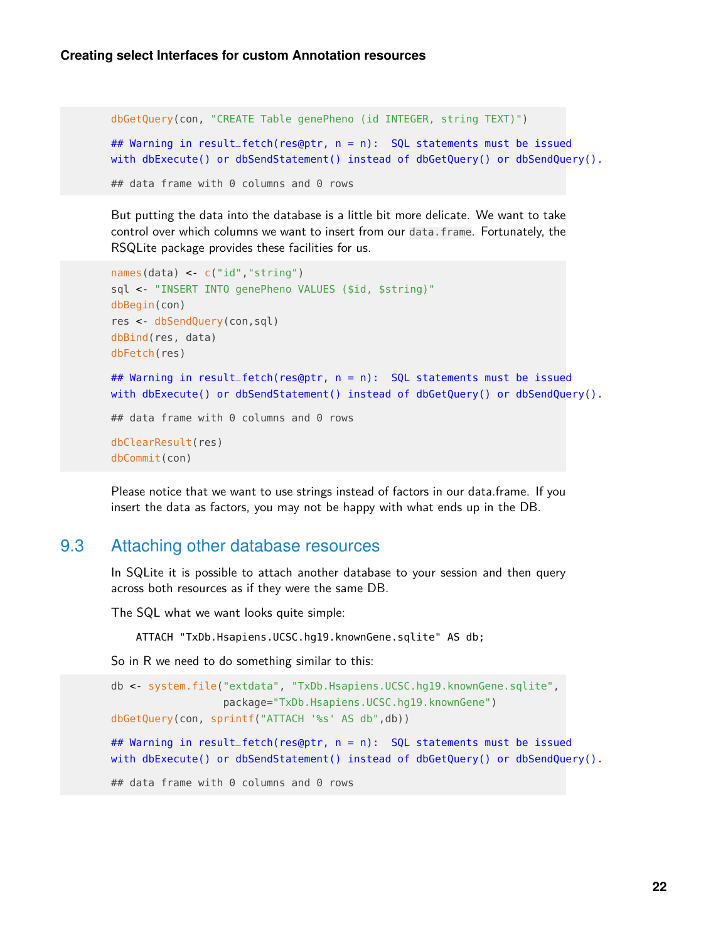```
dbGetQuery(con, "CREATE Table genePheno (id INTEGER, string TEXT)")
## Warning in result_fetch(res@ptr, n = n): SQL statements must be issued
with dbExecute() or dbSendStatement() instead of dbGetQuery() or dbSendQuery().
## data frame with 0 columns and 0 rows
```
But putting the data into the database is a little bit more delicate. We want to take control over which columns we want to insert from our data.frame. Fortunately, the RSQLite package provides these facilities for us.

```
names(data) <- c("id","string")
sql <- "INSERT INTO genePheno VALUES ($id, $string)"
dbBegin(con)
res <- dbSendQuery(con,sql)
dbBind(res, data)
dbFetch(res)
## Warning in result_fetch(res@ptr, n = n): SQL statements must be issued
with dbExecute() or dbSendStatement() instead of dbGetQuery() or dbSendQuery().
## data frame with 0 columns and 0 rows
dbClearResult(res)
dbCommit(con)
```
Please notice that we want to use strings instead of factors in our data.frame. If you insert the data as factors, you may not be happy with what ends up in the DB.

### 9.3 Attaching other database resources

In SQLite it is possible to attach another database to your session and then query across both resources as if they were the same DB.

The SQL what we want looks quite simple:

ATTACH "TxDb.Hsapiens.UCSC.hg19.knownGene.sqlite" AS db;

So in R we need to do something similar to this:

```
db <- system.file("extdata", "TxDb.Hsapiens.UCSC.hg19.knownGene.sqlite",
                  package="TxDb.Hsapiens.UCSC.hg19.knownGene")
dbGetQuery(con, sprintf("ATTACH '%s' AS db",db))
## Warning in result_fetch(res@ptr, n = n): SQL statements must be issued
with dbExecute() or dbSendStatement() instead of dbGetQuery() or dbSendQuery().
## data frame with 0 columns and 0 rows
```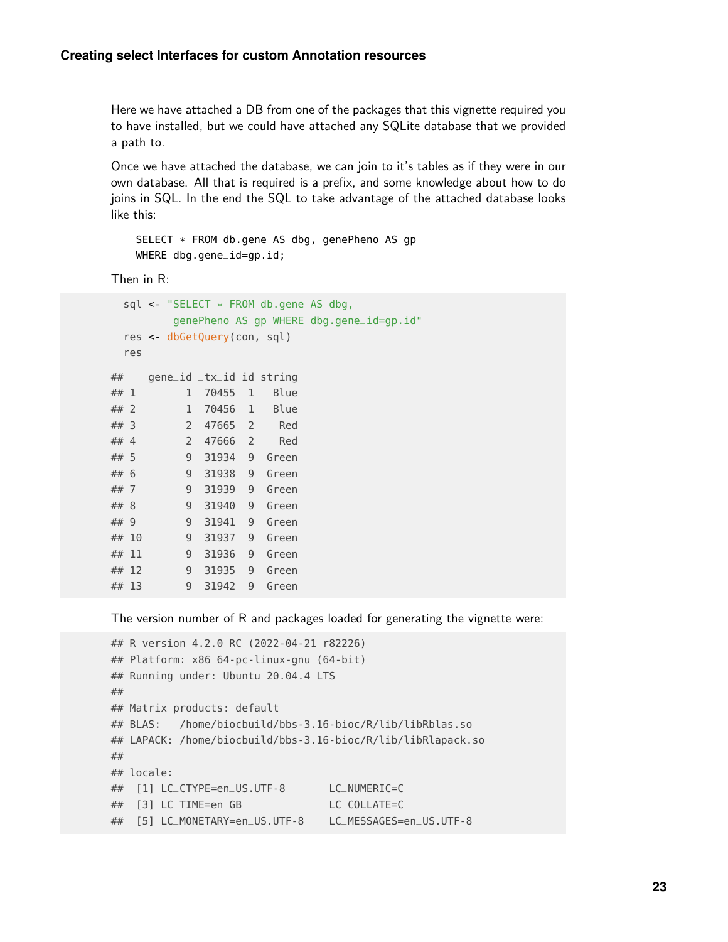Here we have attached a DB from one of the packages that this vignette required you to have installed, but we could have attached any SQLite database that we provided a path to.

Once we have attached the database, we can join to it's tables as if they were in our own database. All that is required is a prefix, and some knowledge about how to do joins in SQL. In the end the SQL to take advantage of the attached database looks like this:

SELECT \* FROM db.gene AS dbg, genePheno AS gp WHERE dbg.gene\_id=gp.id;

Then in R:

```
sql <- "SELECT * FROM db.gene AS dbg,
       genePheno AS gp WHERE dbg.gene_id=gp.id"
 res <- dbGetQuery(con, sql)
 res
## gene_id _tx_id id string
## 1 1 70455 1 Blue
## 2 1 70456 1 Blue
## 3 2 47665 2 Red
## 4 2 47666 2 Red
## 5 9 31934 9 Green
## 6 9 31938 9 Green
## 7 9 31939 9 Green
## 8 9 31940 9 Green
## 9 9 31941 9 Green
## 10 9 31937 9 Green
## 11 9 31936 9 Green
## 12 9 31935 9 Green
## 13 9 31942 9 Green
```
The version number of R and packages loaded for generating the vignette were:

```
## R version 4.2.0 RC (2022-04-21 r82226)
## Platform: x86_64-pc-linux-gnu (64-bit)
## Running under: Ubuntu 20.04.4 LTS
##
## Matrix products: default
## BLAS: /home/biocbuild/bbs-3.16-bioc/R/lib/libRblas.so
## LAPACK: /home/biocbuild/bbs-3.16-bioc/R/lib/libRlapack.so
##
## locale:
## [1] LC_CTYPE=en_US.UTF-8 LC_NUMERIC=C
## [3] LC_TIME=en_GB LC_COLLATE=C
## [5] LC_MONETARY=en_US.UTF-8 LC_MESSAGES=en_US.UTF-8
```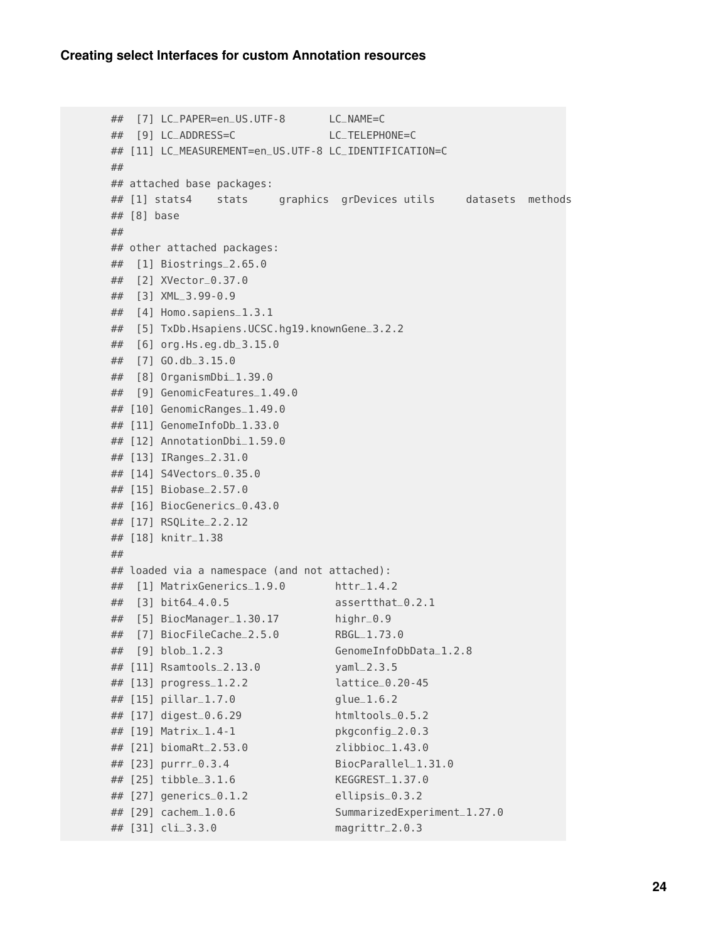```
## [7] LC_PAPER=en_US.UTF-8 LC_NAME=C
## [9] LC_ADDRESS=C LC_TELEPHONE=C
## [11] LC_MEASUREMENT=en_US.UTF-8 LC_IDENTIFICATION=C
##
## attached base packages:
## [1] stats4 stats graphics grDevices utils datasets methods
## [8] base
##
## other attached packages:
## [1] Biostrings_2.65.0
## [2] XVector_0.37.0
## [3] XML_3.99-0.9
## [4] Homo.sapiens_1.3.1
## [5] TxDb.Hsapiens.UCSC.hg19.knownGene_3.2.2
## [6] org.Hs.eg.db_3.15.0
## [7] GO.db_3.15.0
## [8] OrganismDbi_1.39.0
## [9] GenomicFeatures_1.49.0
## [10] GenomicRanges_1.49.0
## [11] GenomeInfoDb_1.33.0
## [12] AnnotationDbi_1.59.0
## [13] IRanges_2.31.0
## [14] S4Vectors_0.35.0
## [15] Biobase_2.57.0
## [16] BiocGenerics_0.43.0
## [17] RSQLite_2.2.12
## [18] knitr_1.38
##
## loaded via a namespace (and not attached):
## [1] MatrixGenerics_1.9.0 httr_1.4.2
## [3] bit64_4.0.5 assertthat_0.2.1
## [5] BiocManager_1.30.17 highr_0.9
## [7] BiocFileCache_2.5.0 RBGL_1.73.0
## [9] blob_1.2.3 GenomeInfoDbData_1.2.8
## [11] Rsamtools_2.13.0 yaml_2.3.5
## [13] progress_1.2.2 lattice_0.20-45
## [15] pillar_1.7.0 glue_1.6.2
## [17] digest_0.6.29 htmltools_0.5.2
## [19] Matrix_1.4-1 pkgconfig_2.0.3
## [21] biomaRt_2.53.0 zlibbioc_1.43.0
## [23] purrr_0.3.4 BiocParallel_1.31.0
## [25] tibble_3.1.6 KEGGREST_1.37.0
## [27] generics_0.1.2 ellipsis_0.3.2
## [29] cachem_1.0.6 SummarizedExperiment_1.27.0
## [31] cli_3.3.0 magrittr_2.0.3
```